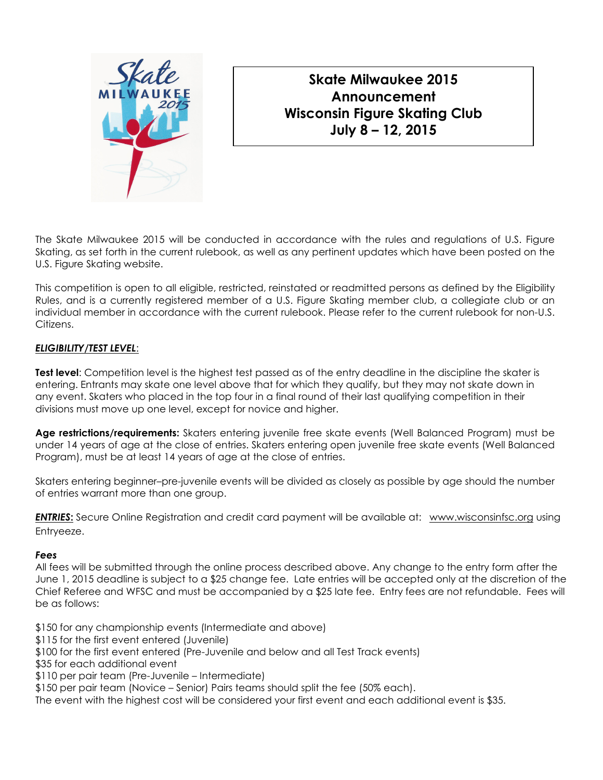

# Skate Milwaukee 2015 Announcement Wisconsin Figure Skating Club July 8 – 12, 2015

The Skate Milwaukee 2015 will be conducted in accordance with the rules and regulations of U.S. Figure Skating, as set forth in the current rulebook, as well as any pertinent updates which have been posted on the U.S. Figure Skating website.

This competition is open to all eligible, restricted, reinstated or readmitted persons as defined by the Eligibility Rules, and is a currently registered member of a U.S. Figure Skating member club, a collegiate club or an individual member in accordance with the current rulebook. Please refer to the current rulebook for non-U.S. Citizens.

## ELIGIBILITY/TEST LEVEL:

Test level: Competition level is the highest test passed as of the entry deadline in the discipline the skater is entering. Entrants may skate one level above that for which they qualify, but they may not skate down in any event. Skaters who placed in the top four in a final round of their last qualifying competition in their divisions must move up one level, except for novice and higher.

Age restrictions/requirements: Skaters entering juvenile free skate events (Well Balanced Program) must be under 14 years of age at the close of entries. Skaters entering open juvenile free skate events (Well Balanced Program), must be at least 14 years of age at the close of entries.

Skaters entering beginner–pre-juvenile events will be divided as closely as possible by age should the number of entries warrant more than one group.

ENTRIES: Secure Online Registration and credit card payment will be available at: www.wisconsinfsc.org using Entryeeze.

## Fees

All fees will be submitted through the online process described above. Any change to the entry form after the June 1, 2015 deadline is subject to a \$25 change fee. Late entries will be accepted only at the discretion of the Chief Referee and WFSC and must be accompanied by a \$25 late fee. Entry fees are not refundable. Fees will be as follows:

\$150 for any championship events (Intermediate and above)

\$115 for the first event entered (Juvenile)

\$100 for the first event entered (Pre-Juvenile and below and all Test Track events)

\$35 for each additional event

- \$110 per pair team (Pre-Juvenile Intermediate)
- \$150 per pair team (Novice Senior) Pairs teams should split the fee (50% each).

The event with the highest cost will be considered your first event and each additional event is \$35.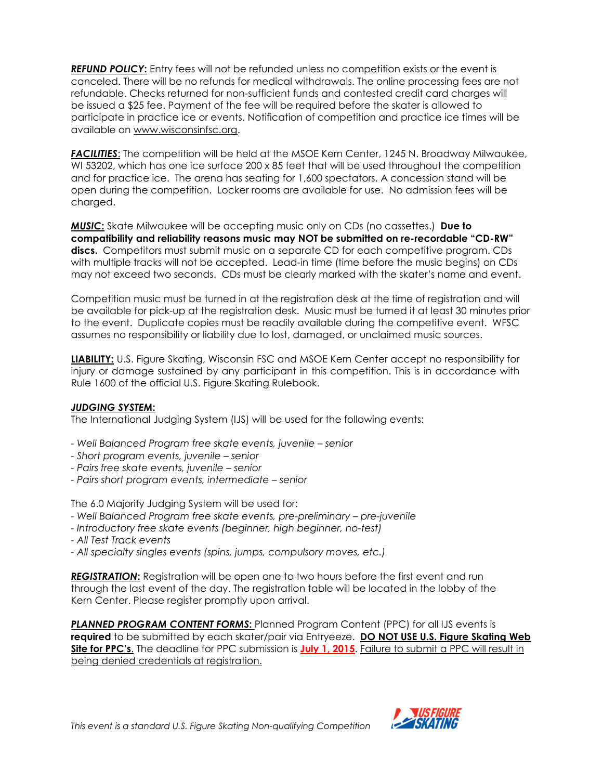**REFUND POLICY:** Entry fees will not be refunded unless no competition exists or the event is canceled. There will be no refunds for medical withdrawals. The online processing fees are not refundable. Checks returned for non-sufficient funds and contested credit card charges will be issued a \$25 fee. Payment of the fee will be required before the skater is allowed to participate in practice ice or events. Notification of competition and practice ice times will be available on www.wisconsinfsc.org.

**FACILITIES:** The competition will be held at the MSOE Kern Center, 1245 N. Broadway Milwaukee, WI 53202, which has one ice surface 200 x 85 feet that will be used throughout the competition and for practice ice. The arena has seating for 1,600 spectators. A concession stand will be open during the competition. Locker rooms are available for use. No admission fees will be charged.

**MUSIC:** Skate Milwaukee will be accepting music only on CDs (no cassettes.) Due to compatibility and reliability reasons music may NOT be submitted on re-recordable "CD-RW" discs. Competitors must submit music on a separate CD for each competitive program. CDs with multiple tracks will not be accepted. Lead-in time (time before the music begins) on CDs may not exceed two seconds. CDs must be clearly marked with the skater's name and event.

Competition music must be turned in at the registration desk at the time of registration and will be available for pick-up at the registration desk. Music must be turned it at least 30 minutes prior to the event. Duplicate copies must be readily available during the competitive event. WFSC assumes no responsibility or liability due to lost, damaged, or unclaimed music sources.

LIABILITY: U.S. Figure Skating, Wisconsin FSC and MSOE Kern Center accept no responsibility for injury or damage sustained by any participant in this competition. This is in accordance with Rule 1600 of the official U.S. Figure Skating Rulebook.

## JUDGING SYSTEM:

The International Judging System (IJS) will be used for the following events:

- Well Balanced Program free skate events, juvenile senior
- Short program events, juvenile senior
- Pairs free skate events, juvenile senior
- Pairs short program events, intermediate senior

The 6.0 Majority Judging System will be used for:

- Well Balanced Program free skate events, pre-preliminary pre-juvenile
- Introductory free skate events (beginner, high beginner, no-test)
- All Test Track events
- All specialty singles events (spins, jumps, compulsory moves, etc.)

**REGISTRATION:** Registration will be open one to two hours before the first event and run through the last event of the day. The registration table will be located in the lobby of the Kern Center. Please register promptly upon arrival.

PLANNED PROGRAM CONTENT FORMS: Planned Program Content (PPC) for all IJS events is required to be submitted by each skater/pair via Entryeeze. DO NOT USE U.S. Figure Skating Web Site for PPC's. The deadline for PPC submission is July 1, 2015. Failure to submit a PPC will result in being denied credentials at registration.

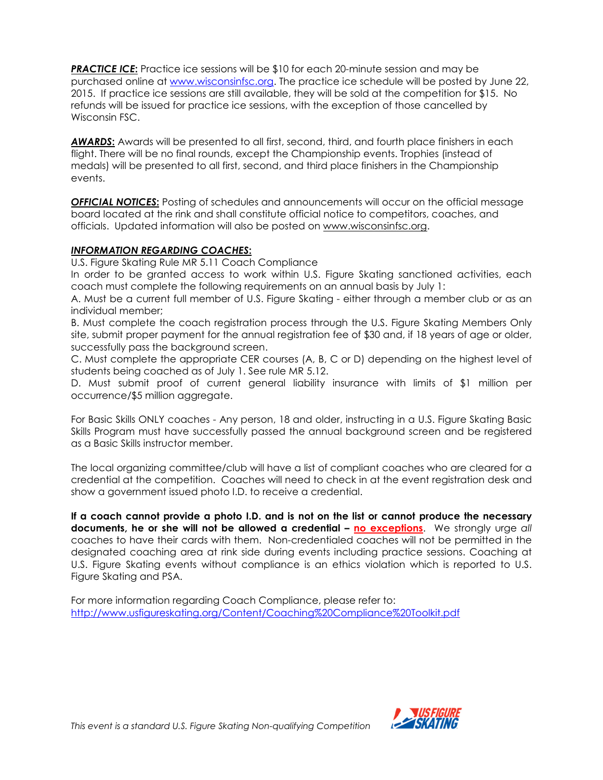**PRACTICE ICE:** Practice ice sessions will be \$10 for each 20-minute session and may be purchased online at www.wisconsinfsc.org. The practice ice schedule will be posted by June 22, 2015. If practice ice sessions are still available, they will be sold at the competition for \$15. No refunds will be issued for practice ice sessions, with the exception of those cancelled by Wisconsin FSC.

AWARDS: Awards will be presented to all first, second, third, and fourth place finishers in each flight. There will be no final rounds, except the Championship events. Trophies (instead of medals) will be presented to all first, second, and third place finishers in the Championship events.

**OFFICIAL NOTICES:** Posting of schedules and announcements will occur on the official message board located at the rink and shall constitute official notice to competitors, coaches, and officials. Updated information will also be posted on www.wisconsinfsc.org.

#### INFORMATION REGARDING COACHES:

U.S. Figure Skating Rule MR 5.11 Coach Compliance

In order to be granted access to work within U.S. Figure Skating sanctioned activities, each coach must complete the following requirements on an annual basis by July 1:

A. Must be a current full member of U.S. Figure Skating - either through a member club or as an individual member;

B. Must complete the coach registration process through the U.S. Figure Skating Members Only site, submit proper payment for the annual registration fee of \$30 and, if 18 years of age or older, successfully pass the background screen.

C. Must complete the appropriate CER courses (A, B, C or D) depending on the highest level of students being coached as of July 1. See rule MR 5.12.

D. Must submit proof of current general liability insurance with limits of \$1 million per occurrence/\$5 million aggregate.

For Basic Skills ONLY coaches - Any person, 18 and older, instructing in a U.S. Figure Skating Basic Skills Program must have successfully passed the annual background screen and be registered as a Basic Skills instructor member.

The local organizing committee/club will have a list of compliant coaches who are cleared for a credential at the competition. Coaches will need to check in at the event registration desk and show a government issued photo I.D. to receive a credential.

If a coach cannot provide a photo I.D. and is not on the list or cannot produce the necessary documents, he or she will not be allowed a credential – no exceptions. We strongly urge all coaches to have their cards with them. Non-credentialed coaches will not be permitted in the designated coaching area at rink side during events including practice sessions. Coaching at U.S. Figure Skating events without compliance is an ethics violation which is reported to U.S. Figure Skating and PSA.

For more information regarding Coach Compliance, please refer to: http://www.usfigureskating.org/Content/Coaching%20Compliance%20Toolkit.pdf

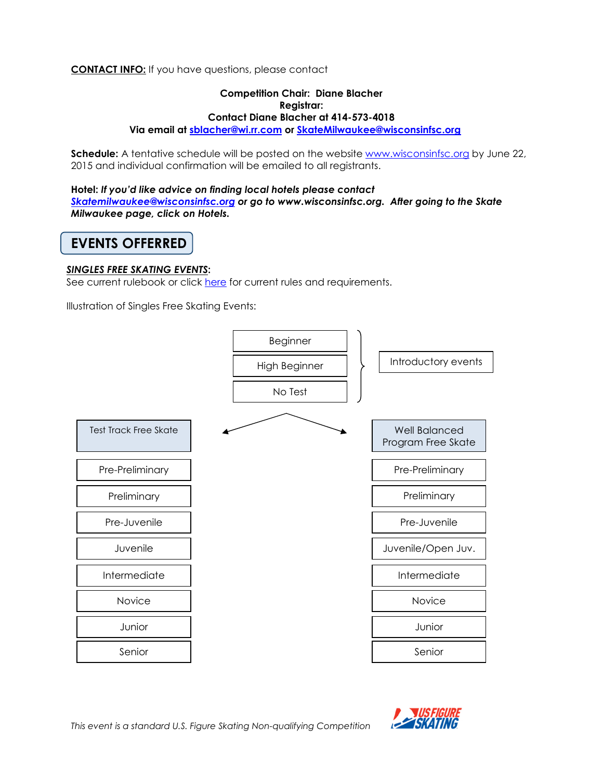## **CONTACT INFO:** If you have questions, please contact

#### Competition Chair: Diane Blacher Registrar: Contact Diane Blacher at 414-573-4018 Via email at sblacher@wi.rr.com or SkateMilwaukee@wisconsinfsc.org

Schedule: A tentative schedule will be posted on the website www.wisconsinfsc.org by June 22, 2015 and individual confirmation will be emailed to all registrants.

Hotel: If you'd like advice on finding local hotels please contact Skatemilwaukee@wisconsinfsc.org or go to www.wisconsinfsc.org. After going to the Skate Milwaukee page, click on Hotels.

## EVENTS OFFERRED

#### SINGLES FREE SKATING EVENTS:

See current rulebook or click here for current rules and requirements.

Illustration of Singles Free Skating Events:



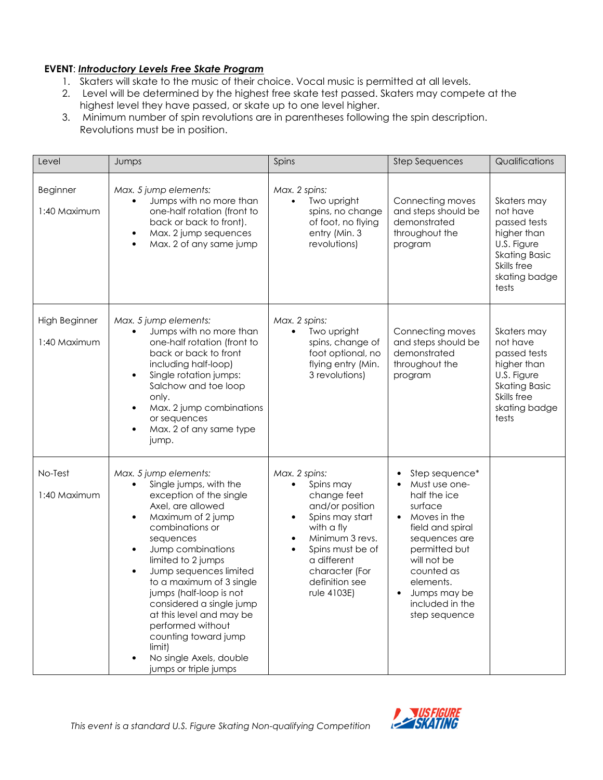## EVENT: Introductory Levels Free Skate Program

- 1. Skaters will skate to the music of their choice. Vocal music is permitted at all levels.
- 2. Level will be determined by the highest free skate test passed. Skaters may compete at the highest level they have passed, or skate up to one level higher.
- 3. Minimum number of spin revolutions are in parentheses following the spin description. Revolutions must be in position.

| Level                           | Jumps                                                                                                                                                                                                                                                                                                                                                                                                                                                                                      | Spins                                                                                                                                                                                                                                         | <b>Step Sequences</b>                                                                                                                                                                                                                       | Qualifications                                                                                                                         |  |
|---------------------------------|--------------------------------------------------------------------------------------------------------------------------------------------------------------------------------------------------------------------------------------------------------------------------------------------------------------------------------------------------------------------------------------------------------------------------------------------------------------------------------------------|-----------------------------------------------------------------------------------------------------------------------------------------------------------------------------------------------------------------------------------------------|---------------------------------------------------------------------------------------------------------------------------------------------------------------------------------------------------------------------------------------------|----------------------------------------------------------------------------------------------------------------------------------------|--|
| <b>Beginner</b><br>1:40 Maximum | Max. 5 jump elements:<br>Jumps with no more than<br>one-half rotation (front to<br>back or back to front).<br>Max. 2 jump sequences<br>$\bullet$<br>Max. 2 of any same jump<br>$\bullet$                                                                                                                                                                                                                                                                                                   | Max. 2 spins:<br>Two upright<br>$\bullet$<br>spins, no change<br>of foot, no flying<br>entry (Min. 3<br>revolutions)                                                                                                                          | Connecting moves<br>and steps should be<br>demonstrated<br>throughout the<br>program                                                                                                                                                        | Skaters may<br>not have<br>passed tests<br>higher than<br>U.S. Figure<br><b>Skating Basic</b><br>Skills free<br>skating badge<br>tests |  |
| High Beginner<br>1:40 Maximum   | Max. 5 jump elements:<br>Jumps with no more than<br>one-half rotation (front to<br>back or back to front<br>including half-loop)<br>Single rotation jumps:<br>$\bullet$<br>Salchow and toe loop<br>only.<br>Max. 2 jump combinations<br>$\bullet$<br>or sequences<br>Max. 2 of any same type<br>$\bullet$<br>jump.                                                                                                                                                                         | Max. 2 spins:<br>Two upright<br>spins, change of<br>foot optional, no<br>flying entry (Min.<br>3 revolutions)                                                                                                                                 | Connecting moves<br>and steps should be<br>demonstrated<br>throughout the<br>program                                                                                                                                                        | Skaters may<br>not have<br>passed tests<br>higher than<br>U.S. Figure<br><b>Skating Basic</b><br>Skills free<br>skating badge<br>tests |  |
| No-Test<br>1:40 Maximum         | Max. 5 jump elements:<br>Single jumps, with the<br>exception of the single<br>Axel, are allowed<br>Maximum of 2 jump<br>$\bullet$<br>combinations or<br>sequences<br>Jump combinations<br>$\bullet$<br>limited to 2 jumps<br>Jump sequences limited<br>$\bullet$<br>to a maximum of 3 single<br>jumps (half-loop is not<br>considered a single jump<br>at this level and may be<br>performed without<br>counting toward jump<br>limit)<br>No single Axels, double<br>jumps or triple jumps | Max. 2 spins:<br>Spins may<br>change feet<br>and/or position<br>Spins may start<br>$\bullet$<br>with a fly<br>Minimum 3 revs.<br>$\bullet$<br>Spins must be of<br>$\bullet$<br>a different<br>character (For<br>definition see<br>rule 4103E) | Step sequence*<br>Must use one-<br>half the ice<br>surface<br>Moves in the<br>$\bullet$<br>field and spiral<br>sequences are<br>permitted but<br>will not be<br>counted as<br>elements.<br>Jumps may be<br>included in the<br>step sequence |                                                                                                                                        |  |

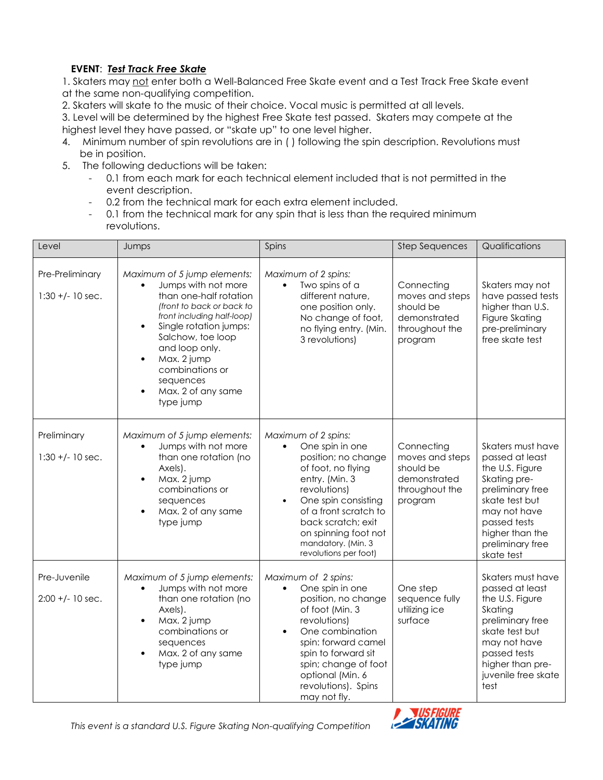## EVENT: Test Track Free Skate

1. Skaters may not enter both a Well-Balanced Free Skate event and a Test Track Free Skate event at the same non-qualifying competition.

2. Skaters will skate to the music of their choice. Vocal music is permitted at all levels.

3. Level will be determined by the highest Free Skate test passed. Skaters may compete at the highest level they have passed, or "skate up" to one level higher.

- 4. Minimum number of spin revolutions are in ( ) following the spin description. Revolutions must be in position.
- 5. The following deductions will be taken:
	- 0.1 from each mark for each technical element included that is not permitted in the event description.
	- 0.2 from the technical mark for each extra element included.
	- 0.1 from the technical mark for any spin that is less than the required minimum revolutions.

| Level                                 | Jumps                                                                                                                                                                                                                                                                                                                             | Spins                                                                                                                                                                                                                                                                                        | <b>Step Sequences</b>                                                                   | Qualifications                                                                                                                                                                                     |  |
|---------------------------------------|-----------------------------------------------------------------------------------------------------------------------------------------------------------------------------------------------------------------------------------------------------------------------------------------------------------------------------------|----------------------------------------------------------------------------------------------------------------------------------------------------------------------------------------------------------------------------------------------------------------------------------------------|-----------------------------------------------------------------------------------------|----------------------------------------------------------------------------------------------------------------------------------------------------------------------------------------------------|--|
| Pre-Preliminary<br>$1:30 +/- 10$ sec. | Maximum of 5 jump elements:<br>Jumps with not more<br>than one-half rotation<br>(front to back or back to<br>front including half-loop)<br>Single rotation jumps:<br>$\bullet$<br>Salchow, toe loop<br>and loop only.<br>Max. 2 jump<br>$\bullet$<br>combinations or<br>sequences<br>Max. 2 of any same<br>$\bullet$<br>type jump | Maximum of 2 spins:<br>Two spins of a<br>$\bullet$<br>different nature,<br>one position only.<br>No change of foot,<br>no flying entry. (Min.<br>3 revolutions)                                                                                                                              | Connecting<br>moves and steps<br>should be<br>demonstrated<br>throughout the<br>program | Skaters may not<br>have passed tests<br>higher than U.S.<br>Figure Skating<br>pre-preliminary<br>free skate test                                                                                   |  |
| Preliminary<br>$1:30 +/- 10$ sec.     | Maximum of 5 jump elements:<br>Jumps with not more<br>than one rotation (no<br>Axels).<br>Max. 2 jump<br>$\bullet$<br>combinations or<br>sequences<br>Max. 2 of any same<br>type jump                                                                                                                                             | Maximum of 2 spins:<br>One spin in one<br>$\bullet$<br>position; no change<br>of foot, no flying<br>entry. (Min. 3<br>revolutions)<br>One spin consisting<br>$\bullet$<br>of a front scratch to<br>back scratch; exit<br>on spinning foot not<br>mandatory. (Min. 3<br>revolutions per foot) | Connecting<br>moves and steps<br>should be<br>demonstrated<br>throughout the<br>program | Skaters must have<br>passed at least<br>the U.S. Figure<br>Skating pre-<br>preliminary free<br>skate test but<br>may not have<br>passed tests<br>higher than the<br>preliminary free<br>skate test |  |
| Pre-Juvenile<br>$2:00 + (-10 sec.$    | Maximum of 5 jump elements:<br>Jumps with not more<br>$\bullet$<br>than one rotation (no<br>Axels).<br>Max. 2 jump<br>$\bullet$<br>combinations or<br>sequences<br>Max. 2 of any same<br>$\bullet$<br>type jump                                                                                                                   | Maximum of 2 spins:<br>One spin in one<br>$\bullet$<br>position, no change<br>of foot (Min. 3<br>revolutions)<br>One combination<br>$\bullet$<br>spin: forward camel<br>spin to forward sit<br>spin; change of foot<br>optional (Min. 6<br>revolutions). Spins<br>may not fly.               | One step<br>sequence fully<br>utilizing ice<br>surface                                  | Skaters must have<br>passed at least<br>the U.S. Figure<br>Skating<br>preliminary free<br>skate test but<br>may not have<br>passed tests<br>higher than pre-<br>juvenile free skate<br>test        |  |



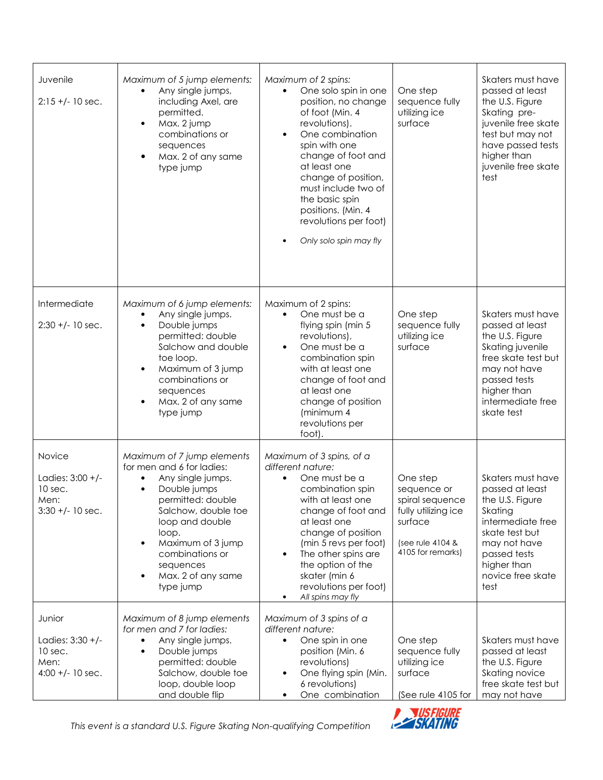| Juvenile<br>$2:15 +/- 10$ sec.                                        | Maximum of 5 jump elements:<br>Any single jumps,<br>$\bullet$<br>including Axel, are<br>permitted.<br>Max. 2 jump<br>$\bullet$<br>combinations or<br>sequences<br>Max. 2 of any same<br>$\bullet$<br>type jump                                                                                                   | Maximum of 2 spins:<br>One solo spin in one<br>$\bullet$<br>position, no change<br>of foot (Min. 4<br>revolutions).<br>One combination<br>$\bullet$<br>spin with one<br>change of foot and<br>at least one<br>change of position,<br>must include two of<br>the basic spin<br>positions. (Min. 4<br>revolutions per foot)<br>Only solo spin may fly | One step<br>sequence fully<br>utilizing ice<br>surface                                                                | Skaters must have<br>passed at least<br>the U.S. Figure<br>Skating pre-<br>juvenile free skate<br>test but may not<br>have passed tests<br>higher than<br>juvenile free skate<br>test |
|-----------------------------------------------------------------------|------------------------------------------------------------------------------------------------------------------------------------------------------------------------------------------------------------------------------------------------------------------------------------------------------------------|-----------------------------------------------------------------------------------------------------------------------------------------------------------------------------------------------------------------------------------------------------------------------------------------------------------------------------------------------------|-----------------------------------------------------------------------------------------------------------------------|---------------------------------------------------------------------------------------------------------------------------------------------------------------------------------------|
| Intermediate<br>$2:30 +/- 10$ sec.                                    | Maximum of 6 jump elements:<br>Any single jumps.<br>$\bullet$<br>Double jumps<br>$\bullet$<br>permitted: double<br>Salchow and double<br>toe loop.<br>Maximum of 3 jump<br>$\bullet$<br>combinations or<br>sequences<br>Max. 2 of any same<br>type jump                                                          | Maximum of 2 spins:<br>One must be a<br>$\bullet$<br>flying spin (min 5<br>revolutions),<br>One must be a<br>$\bullet$<br>combination spin<br>with at least one<br>change of foot and<br>at least one<br>change of position<br>(minimum 4<br>revolutions per<br>foot).                                                                              | One step<br>sequence fully<br>utilizing ice<br>surface                                                                | Skaters must have<br>passed at least<br>the U.S. Figure<br>Skating juvenile<br>free skate test but<br>may not have<br>passed tests<br>higher than<br>intermediate free<br>skate test  |
| Novice<br>Ladies: $3:00 +/-$<br>10 sec.<br>Men:<br>$3:30 +/- 10$ sec. | Maximum of 7 jump elements<br>for men and 6 for ladies:<br>Any single jumps.<br>$\bullet$<br>Double jumps<br>$\bullet$<br>permitted: double<br>Salchow, double toe<br>loop and double<br>loop.<br>Maximum of 3 jump<br>$\bullet$<br>combinations or<br>sequences<br>Max. 2 of any same<br>$\bullet$<br>type jump | Maximum of 3 spins, of a<br>different nature:<br>One must be a<br>combination spin<br>with at least one<br>change of foot and<br>at least one<br>change of position<br>(min 5 revs per foot)<br>The other spins are<br>$\bullet$<br>the option of the<br>skater (min 6<br>revolutions per foot)<br>All spins may fly<br>$\bullet$                   | One step<br>sequence or<br>spiral sequence<br>fully utilizing ice<br>surface<br>(see rule 4104 &<br>4105 for remarks) | Skaters must have<br>passed at least<br>the U.S. Figure<br>Skating<br>intermediate free<br>skate test but<br>may not have<br>passed tests<br>higher than<br>novice free skate<br>test |
| Junior<br>Ladies: 3:30 +/-<br>10 sec.<br>Men:<br>$4:00 +/- 10$ sec.   | Maximum of 8 jump elements<br>for men and 7 for ladies:<br>Any single jumps.<br>$\bullet$<br>Double jumps<br>$\bullet$<br>permitted: double<br>Salchow, double toe<br>loop, double loop<br>and double flip                                                                                                       | Maximum of 3 spins of a<br>different nature:<br>One spin in one<br>$\bullet$<br>position (Min. 6<br>revolutions)<br>One flying spin (Min.<br>$\bullet$<br>6 revolutions)<br>One combination<br>$\bullet$                                                                                                                                            | One step<br>sequence fully<br>utilizing ice<br>surface<br>(See rule 4105 for                                          | Skaters must have<br>passed at least<br>the U.S. Figure<br>Skating novice<br>free skate test but<br>may not have                                                                      |

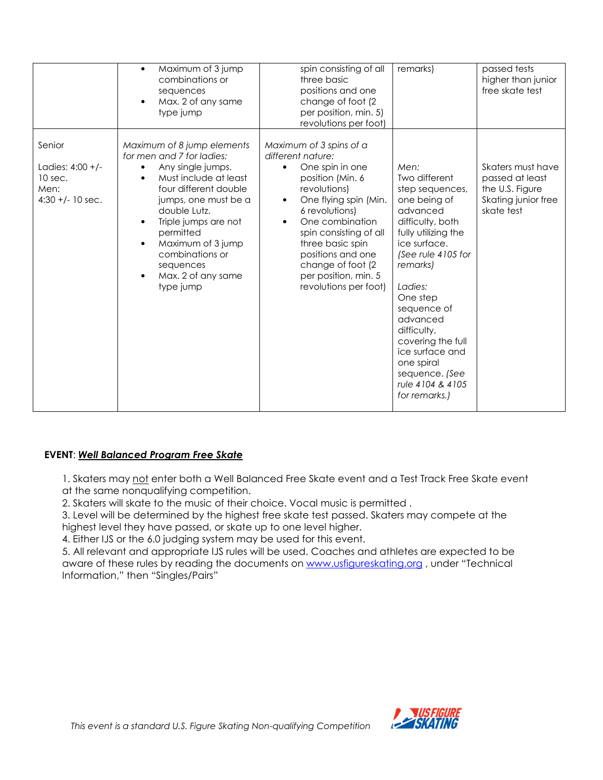|                                                                     | Maximum of 3 jump<br>$\bullet$<br>combinations or<br>sequences<br>Max. 2 of any same<br>$\bullet$<br>type jump                                                                                                                                                                                                                                                       | spin consisting of all<br>three basic<br>positions and one<br>change of foot (2<br>per position, min. 5)<br>revolutions per foot)                                                                                                                                                                                                                 | remarks)                                                                                                                                                                                                                                                                                                                                        | passed tests<br>higher than junior<br>free skate test                                        |
|---------------------------------------------------------------------|----------------------------------------------------------------------------------------------------------------------------------------------------------------------------------------------------------------------------------------------------------------------------------------------------------------------------------------------------------------------|---------------------------------------------------------------------------------------------------------------------------------------------------------------------------------------------------------------------------------------------------------------------------------------------------------------------------------------------------|-------------------------------------------------------------------------------------------------------------------------------------------------------------------------------------------------------------------------------------------------------------------------------------------------------------------------------------------------|----------------------------------------------------------------------------------------------|
| Senior<br>Ladies: 4:00 +/-<br>10 sec.<br>Men:<br>$4:30 +/- 10$ sec. | Maximum of 8 jump elements<br>for men and 7 for ladies:<br>Any single jumps.<br>$\bullet$<br>Must include at least<br>$\bullet$<br>four different double<br>jumps, one must be a<br>double Lutz.<br>Triple jumps are not<br>$\bullet$<br>permitted<br>Maximum of 3 jump<br>$\bullet$<br>combinations or<br>sequences<br>Max. 2 of any same<br>$\bullet$<br>type jump | Maximum of 3 spins of a<br>different nature:<br>One spin in one<br>$\bullet$<br>position (Min. 6<br>revolutions)<br>One flying spin (Min.<br>$\bullet$<br>6 revolutions)<br>One combination<br>$\bullet$<br>spin consisting of all<br>three basic spin<br>positions and one<br>change of foot (2<br>per position, min. 5<br>revolutions per foot) | Men:<br>Two different<br>step sequences,<br>one being of<br>advanced<br>difficulty, both<br>fully utilizing the<br>ice surface.<br>(See rule 4105 for<br>remarks)<br>Ladies:<br>One step<br>sequence of<br>advanced<br>difficulty,<br>covering the full<br>ice surface and<br>one spiral<br>sequence. (See<br>rule 4104 & 4105<br>for remarks.) | Skaters must have<br>passed at least<br>the U.S. Figure<br>Skating junior free<br>skate test |

## EVENT: Well Balanced Program Free Skate

1. Skaters may not enter both a Well Balanced Free Skate event and a Test Track Free Skate event at the same nonqualifying competition.

2. Skaters will skate to the music of their choice. Vocal music is permitted .

3. Level will be determined by the highest free skate test passed. Skaters may compete at the highest level they have passed, or skate up to one level higher.

4. Either IJS or the 6.0 judging system may be used for this event.

5. All relevant and appropriate IJS rules will be used. Coaches and athletes are expected to be aware of these rules by reading the documents on www.usfigureskating.org, under "Technical Information," then "Singles/Pairs"

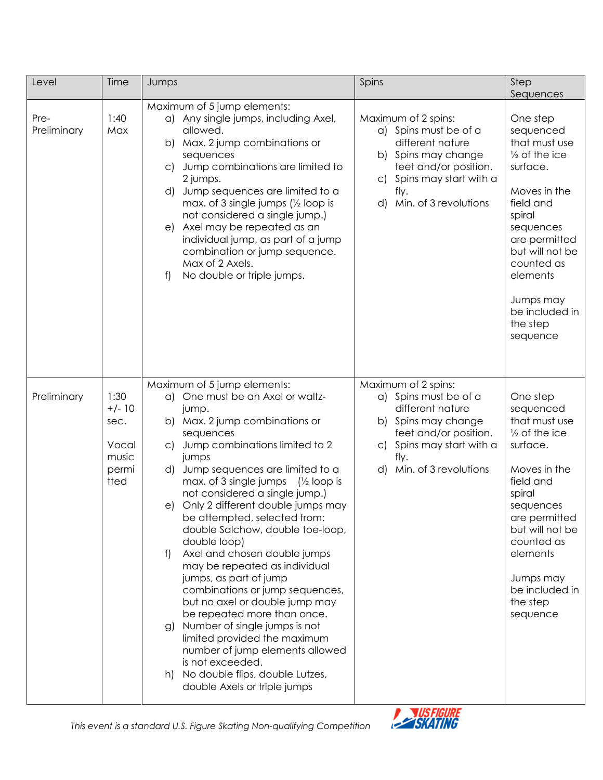| Level               | Time                                                        | Jumps                                                                                                                                                                                                                                                                                                                                                                                                                                                                                                                                                                                                                                                                                                                                                                                                                                                         | Spins                                                                                                                                                                                             | Step<br>Sequences                                                                                                                                                                                                                                       |
|---------------------|-------------------------------------------------------------|---------------------------------------------------------------------------------------------------------------------------------------------------------------------------------------------------------------------------------------------------------------------------------------------------------------------------------------------------------------------------------------------------------------------------------------------------------------------------------------------------------------------------------------------------------------------------------------------------------------------------------------------------------------------------------------------------------------------------------------------------------------------------------------------------------------------------------------------------------------|---------------------------------------------------------------------------------------------------------------------------------------------------------------------------------------------------|---------------------------------------------------------------------------------------------------------------------------------------------------------------------------------------------------------------------------------------------------------|
| Pre-<br>Preliminary | 1:40<br>Max                                                 | Maximum of 5 jump elements:<br>a) Any single jumps, including Axel,<br>allowed.<br>Max. 2 jump combinations or<br>b)<br>sequences<br>Jump combinations are limited to<br>$\circ$<br>2 jumps.<br>Jump sequences are limited to a<br>d)<br>max. of 3 single jumps $\frac{1}{2}$ loop is<br>not considered a single jump.)<br>Axel may be repeated as an<br>e)<br>individual jump, as part of a jump<br>combination or jump sequence.<br>Max of 2 Axels.<br>No double or triple jumps.<br>f)                                                                                                                                                                                                                                                                                                                                                                     | Maximum of 2 spins:<br>a) Spins must be of a<br>different nature<br>b) Spins may change<br>feet and/or position.<br>Spins may start with a<br>$\mathsf{C}$<br>fly.<br>Min. of 3 revolutions<br>d) | One step<br>sequenced<br>that must use<br>$\frac{1}{2}$ of the ice<br>surface.<br>Moves in the<br>field and<br>spiral<br>sequences<br>are permitted<br>but will not be<br>counted as<br>elements<br>Jumps may<br>be included in<br>the step<br>sequence |
| Preliminary         | 1:30<br>$+/- 10$<br>sec.<br>Vocal<br>music<br>permi<br>tted | Maximum of 5 jump elements:<br>One must be an Axel or waltz-<br>a)<br>jump.<br>Max. 2 jump combinations or<br>b)<br>sequences<br>Jump combinations limited to 2<br>$\subset$<br>jumps<br>Jump sequences are limited to a<br>d)<br>max. of 3 single jumps<br>$\frac{1}{2}$ loop is<br>not considered a single jump.)<br>Only 2 different double jumps may<br>e)<br>be attempted, selected from:<br>double Salchow, double toe-loop,<br>double loop)<br>Axel and chosen double jumps<br>f<br>may be repeated as individual<br>jumps, as part of jump<br>combinations or jump sequences,<br>but no axel or double jump may<br>be repeated more than once.<br>Number of single jumps is not<br>g)<br>limited provided the maximum<br>number of jump elements allowed<br>is not exceeded.<br>No double flips, double Lutzes,<br>h)<br>double Axels or triple jumps | Maximum of 2 spins:<br>a) Spins must be of a<br>different nature<br>b) Spins may change<br>feet and/or position.<br>Spins may start with a<br>$\mathsf{C}$<br>fly.<br>Min. of 3 revolutions<br>d) | One step<br>sequenced<br>that must use<br>$\frac{1}{2}$ of the ice<br>surface.<br>Moves in the<br>field and<br>spiral<br>sequences<br>are permitted<br>but will not be<br>counted as<br>elements<br>Jumps may<br>be included in<br>the step<br>sequence |

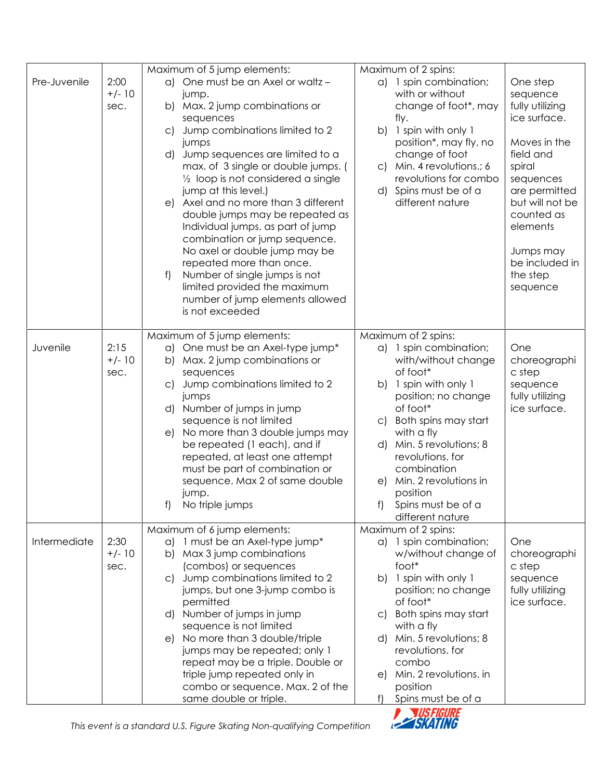|              |                          | Maximum of 5 jump elements:<br>Maximum of 2 spins:                                                                                                                                                                                                                                                                                                                                                                                                                                                                                                                                                                                                                                                                                                                                                                                                                                                                                                                                                                                                                                                                                                                |  |
|--------------|--------------------------|-------------------------------------------------------------------------------------------------------------------------------------------------------------------------------------------------------------------------------------------------------------------------------------------------------------------------------------------------------------------------------------------------------------------------------------------------------------------------------------------------------------------------------------------------------------------------------------------------------------------------------------------------------------------------------------------------------------------------------------------------------------------------------------------------------------------------------------------------------------------------------------------------------------------------------------------------------------------------------------------------------------------------------------------------------------------------------------------------------------------------------------------------------------------|--|
| Pre-Juvenile | 2:00<br>$+/- 10$<br>sec. | a) One must be an Axel or waltz -<br>a) 1 spin combination;<br>One step<br>with or without<br>sequence<br>jump.<br>fully utilizing<br>Max. 2 jump combinations or<br>change of foot*, may<br>b)<br>ice surface.<br>fly.<br>sequences<br>Jump combinations limited to 2<br>b) 1 spin with only 1<br>$\mathsf{C}$<br>position*, may fly, no<br>Moves in the<br>jumps<br>change of foot<br>Jump sequences are limited to a<br>field and<br>d)<br>max. of 3 single or double jumps. (<br>Min. 4 revolutions.; 6<br>spiral<br>$\mathsf{C}$<br>revolutions for combo<br>$\frac{1}{2}$ loop is not considered a single<br>sequences<br>d) Spins must be of a<br>are permitted<br>jump at this level.)<br>e) Axel and no more than 3 different<br>different nature<br>but will not be<br>double jumps may be repeated as<br>counted as<br>Individual jumps, as part of jump<br>elements<br>combination or jump sequence.<br>No axel or double jump may be<br>Jumps may<br>be included in<br>repeated more than once.<br>Number of single jumps is not<br>the step<br>f)<br>limited provided the maximum<br>sequence<br>number of jump elements allowed<br>is not exceeded |  |
| Juvenile     | 2:15<br>$+/- 10$<br>sec. | Maximum of 5 jump elements:<br>Maximum of 2 spins:<br>One must be an Axel-type jump*<br>a) 1 spin combination;<br>One<br>a)<br>with/without change<br>Max. 2 jump combinations or<br>choreographi<br>b)<br>of foot*<br>c step<br>sequences<br>Jump combinations limited to 2<br>b) 1 spin with only 1<br>sequence<br>$\subset$<br>position; no change<br>fully utilizing<br>jumps<br>of foot*<br>ice surface.<br>d) Number of jumps in jump<br>sequence is not limited<br>Both spins may start<br>$\subset$<br>No more than 3 double jumps may<br>with a fly<br>e)<br>d) Min. 5 revolutions; 8<br>be repeated (1 each), and if<br>revolutions. for<br>repeated, at least one attempt<br>must be part of combination or<br>combination<br>sequence. Max 2 of same double<br>e) Min. 2 revolutions in<br>position<br>jump.<br>f) No triple jumps<br>f) Spins must be of a<br>different nature                                                                                                                                                                                                                                                                       |  |
| Intermediate | 2:30<br>$+/- 10$<br>sec. | Maximum of 2 spins:<br>Maximum of 6 jump elements:<br>a) 1 must be an Axel-type jump*<br>a) 1 spin combination;<br>One<br>b) Max 3 jump combinations<br>w/without change of<br>choreographi<br>(combos) or sequences<br>foot*<br>c step<br>Jump combinations limited to 2<br>1 spin with only 1<br>b)<br>sequence<br>C)<br>jumps, but one 3-jump combo is<br>position; no change<br>fully utilizing<br>of foot*<br>ice surface.<br>permitted<br>d) Number of jumps in jump<br>Both spins may start<br>C)<br>sequence is not limited<br>with a fly<br>d) Min. 5 revolutions; 8<br>No more than 3 double/triple<br>e)<br>revolutions. for<br>jumps may be repeated; only 1<br>repeat may be a triple. Double or<br>combo<br>Min. 2 revolutions. in<br>triple jump repeated only in<br>e)<br>combo or sequence. Max. 2 of the<br>position<br>same double or triple.<br>Spins must be of a<br>f)                                                                                                                                                                                                                                                                      |  |

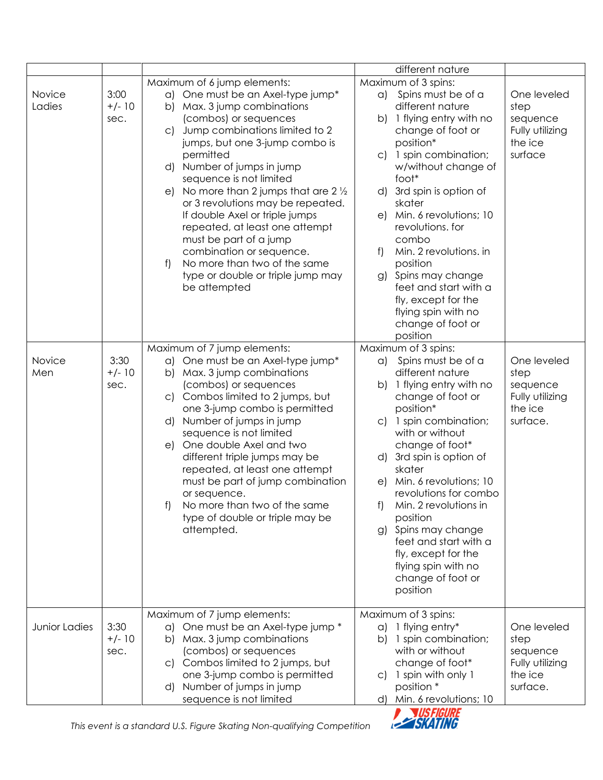|                      |                          |                                                                                                                                                                                                                                                                                                                                                                                                                                                                                                                                                                                                      | different nature                                                                                                                                                                                                                                                                                                                                                                                                                                                     |                                                                           |
|----------------------|--------------------------|------------------------------------------------------------------------------------------------------------------------------------------------------------------------------------------------------------------------------------------------------------------------------------------------------------------------------------------------------------------------------------------------------------------------------------------------------------------------------------------------------------------------------------------------------------------------------------------------------|----------------------------------------------------------------------------------------------------------------------------------------------------------------------------------------------------------------------------------------------------------------------------------------------------------------------------------------------------------------------------------------------------------------------------------------------------------------------|---------------------------------------------------------------------------|
| Novice<br>Ladies     | 3:00<br>$+/- 10$<br>sec. | Maximum of 6 jump elements:<br>a) One must be an Axel-type jump*<br>Max. 3 jump combinations<br>b)<br>(combos) or sequences<br>Jump combinations limited to 2<br>$\mathsf{C}$<br>jumps, but one 3-jump combo is<br>permitted<br>d) Number of jumps in jump<br>sequence is not limited<br>No more than 2 jumps that are $2\frac{1}{2}$<br>e)<br>or 3 revolutions may be repeated.<br>If double Axel or triple jumps<br>repeated, at least one attempt<br>must be part of a jump<br>combination or sequence.<br>No more than two of the same<br>f<br>type or double or triple jump may<br>be attempted | Maximum of 3 spins:<br>a) Spins must be of a<br>different nature<br>b) 1 flying entry with no<br>change of foot or<br>position*<br>c) 1 spin combination;<br>w/without change of<br>foot*<br>d) 3rd spin is option of<br>skater<br>e) Min. 6 revolutions; 10<br>revolutions. for<br>combo<br>Min. 2 revolutions. in<br>f)<br>position<br>g) Spins may change<br>feet and start with a<br>fly, except for the<br>flying spin with no<br>change of foot or<br>position | One leveled<br>step<br>sequence<br>Fully utilizing<br>the ice<br>surface  |
| Novice<br>Men        | 3:30<br>$+/- 10$<br>sec. | Maximum of 7 jump elements:<br>One must be an Axel-type jump*<br>a)<br>b) Max. 3 jump combinations<br>(combos) or sequences<br>Combos limited to 2 jumps, but<br>C)<br>one 3-jump combo is permitted<br>Number of jumps in jump<br>d)<br>sequence is not limited<br>One double Axel and two<br>e)<br>different triple jumps may be<br>repeated, at least one attempt<br>must be part of jump combination<br>or sequence.<br>f)<br>No more than two of the same<br>type of double or triple may be<br>attempted.                                                                                      | Maximum of 3 spins:<br>a) Spins must be of a<br>different nature<br>b) 1 flying entry with no<br>change of foot or<br>position*<br>c) 1 spin combination;<br>with or without<br>change of foot*<br>d) 3rd spin is option of<br>skater<br>e) Min. 6 revolutions; 10<br>revolutions for combo<br>f) Min. 2 revolutions in<br>position<br>g) Spins may change<br>feet and start with a<br>fly, except for the<br>flying spin with no<br>change of foot or<br>position   | One leveled<br>step<br>sequence<br>Fully utilizing<br>the ice<br>surface. |
| <b>Junior Ladies</b> | 3:30<br>$+/- 10$<br>sec. | Maximum of 7 jump elements:<br>One must be an Axel-type jump *<br>a)<br>b) Max. 3 jump combinations<br>(combos) or sequences<br>c) Combos limited to 2 jumps, but<br>one 3-jump combo is permitted<br>Number of jumps in jump<br>d)<br>sequence is not limited                                                                                                                                                                                                                                                                                                                                       | Maximum of 3 spins:<br>1 flying entry*<br>a)<br>1 spin combination;<br>b)<br>with or without<br>change of foot*<br>1 spin with only 1<br>C)<br>position *<br>d) Min. 6 revolutions; 10                                                                                                                                                                                                                                                                               | One leveled<br>step<br>sequence<br>Fully utilizing<br>the ice<br>surface. |

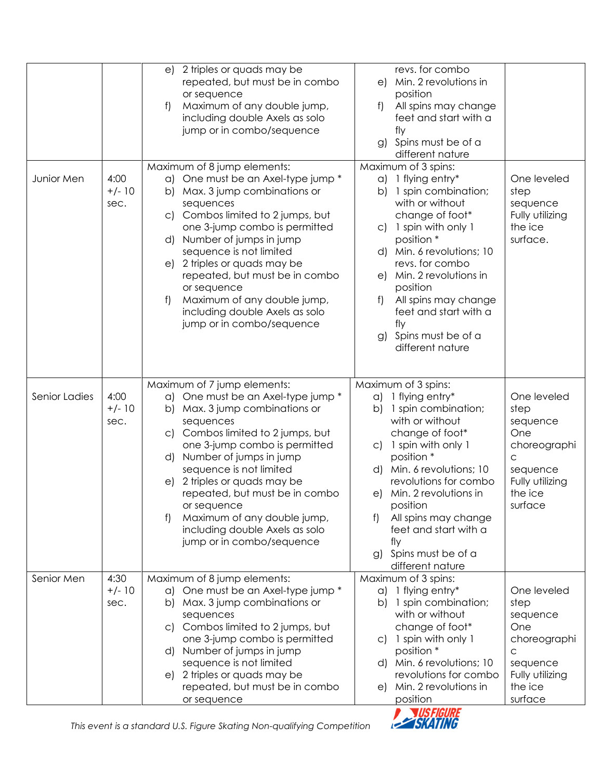|               |                          | 2 triples or quads may be<br>e)<br>repeated, but must be in combo<br>or sequence<br>f<br>Maximum of any double jump,<br>including double Axels as solo<br>jump or in combo/sequence                                                                                                                                                                                                                                                                            | revs. for combo<br>e) Min. 2 revolutions in<br>position<br>f<br>All spins may change<br>feet and start with a<br>fly<br>g) Spins must be of a<br>different nature                                                                                                                                                                                                                                                                                                                                      |
|---------------|--------------------------|----------------------------------------------------------------------------------------------------------------------------------------------------------------------------------------------------------------------------------------------------------------------------------------------------------------------------------------------------------------------------------------------------------------------------------------------------------------|--------------------------------------------------------------------------------------------------------------------------------------------------------------------------------------------------------------------------------------------------------------------------------------------------------------------------------------------------------------------------------------------------------------------------------------------------------------------------------------------------------|
| Junior Men    | 4:00<br>$+/- 10$<br>sec. | Maximum of 8 jump elements:<br>One must be an Axel-type jump *<br>$\alpha$<br>Max. 3 jump combinations or<br>b)<br>sequences<br>Combos limited to 2 jumps, but<br>C)<br>one 3-jump combo is permitted<br>Number of jumps in jump<br>d)<br>sequence is not limited<br>2 triples or quads may be<br>e)<br>repeated, but must be in combo<br>or sequence<br>Maximum of any double jump,<br>f)<br>including double Axels as solo<br>jump or in combo/sequence      | Maximum of 3 spins:<br>a) 1 flying entry*<br>One leveled<br>1 spin combination;<br>b)<br>step<br>with or without<br>sequence<br>change of foot*<br>Fully utilizing<br>the ice<br>1 spin with only 1<br>$\mathsf{C}$<br>position *<br>surface.<br>d) Min. 6 revolutions; 10<br>revs. for combo<br>Min. 2 revolutions in<br>e)<br>position<br>All spins may change<br>f)<br>feet and start with a<br>fly<br>g) Spins must be of a<br>different nature                                                    |
| Senior Ladies | 4:00<br>$+/- 10$<br>sec. | Maximum of 7 jump elements:<br>One must be an Axel-type jump *<br>$\alpha$<br>Max. 3 jump combinations or<br>b)<br>sequences<br>Combos limited to 2 jumps, but<br>$\circ$<br>one 3-jump combo is permitted<br>Number of jumps in jump<br>d)<br>sequence is not limited<br>2 triples or quads may be<br>e)<br>repeated, but must be in combo<br>or sequence<br>Maximum of any double jump,<br>f)<br>including double Axels as solo<br>jump or in combo/sequence | Maximum of 3 spins:<br>a) 1 flying entry*<br>One leveled<br>1 spin combination;<br>b)<br>step<br>with or without<br>sequence<br>change of foot*<br>One<br>1 spin with only 1<br>choreographi<br>$\mathsf{C}$<br>position *<br>C<br>Min. 6 revolutions; 10<br>d)<br>sequence<br>revolutions for combo<br>Fully utilizing<br>Min. 2 revolutions in<br>the ice<br>e)<br>position<br>surface<br>All spins may change<br>f)<br>feet and start with a<br>fly<br>Spins must be of a<br>g)<br>different nature |
| Senior Men    | 4:30<br>$+/- 10$<br>sec. | Maximum of 8 jump elements:<br>One must be an Axel-type jump *<br>a)<br>Max. 3 jump combinations or<br>b)<br>sequences<br>c) Combos limited to 2 jumps, but<br>one 3-jump combo is permitted<br>Number of jumps in jump<br>d)<br>sequence is not limited<br>2 triples or quads may be<br>e)<br>repeated, but must be in combo<br>or sequence                                                                                                                   | Maximum of 3 spins:<br>a) 1 flying entry*<br>One leveled<br>1 spin combination;<br>b)<br>step<br>with or without<br>sequence<br>change of foot*<br>One<br>c) 1 spin with only 1<br>choreographi<br>position *<br>$\mathsf C$<br>d) Min. 6 revolutions; 10<br>sequence<br>revolutions for combo<br>Fully utilizing<br>Min. 2 revolutions in<br>the ice<br>e)<br>position<br>surface                                                                                                                     |

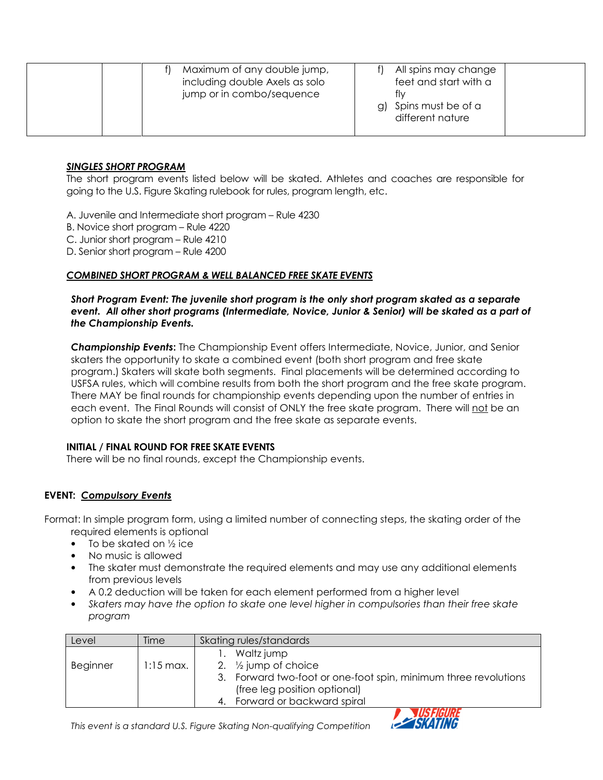| Maximum of any double jump,<br>including double Axels as solo<br>jump or in combo/sequence | All spins may change<br>feet and start with a<br>tlv<br>g) Spins must be of a<br>different nature |
|--------------------------------------------------------------------------------------------|---------------------------------------------------------------------------------------------------|
|--------------------------------------------------------------------------------------------|---------------------------------------------------------------------------------------------------|

#### SINGLES SHORT PROGRAM

The short program events listed below will be skated. Athletes and coaches are responsible for going to the U.S. Figure Skating rulebook for rules, program length, etc.

A. Juvenile and Intermediate short program – Rule 4230

B. Novice short program – Rule 4220

C. Junior short program – Rule 4210

D. Senior short program – Rule 4200

#### COMBINED SHORT PROGRAM & WELL BALANCED FREE SKATE EVENTS

#### Short Program Event: The juvenile short program is the only short program skated as a separate event. All other short programs (Intermediate, Novice, Junior & Senior) will be skated as a part of the Championship Events.

Championship Events: The Championship Event offers Intermediate, Novice, Junior, and Senior skaters the opportunity to skate a combined event (both short program and free skate program.) Skaters will skate both segments. Final placements will be determined according to USFSA rules, which will combine results from both the short program and the free skate program. There MAY be final rounds for championship events depending upon the number of entries in each event. The Final Rounds will consist of ONLY the free skate program. There will not be an option to skate the short program and the free skate as separate events.

#### INITIAL / FINAL ROUND FOR FREE SKATE EVENTS

There will be no final rounds, except the Championship events.

## EVENT: Compulsory Events

Format: In simple program form, using a limited number of connecting steps, the skating order of the required elements is optional

- To be skated on 1/2 ice
- No music is allowed
- The skater must demonstrate the required elements and may use any additional elements from previous levels
- A 0.2 deduction will be taken for each element performed from a higher level
- Skaters may have the option to skate one level higher in compulsories than their free skate program

| Level    | Time                | Skating rules/standards |                                                              |
|----------|---------------------|-------------------------|--------------------------------------------------------------|
|          |                     |                         | Waltz jump                                                   |
| Beginner | $1:15 \text{ max.}$ |                         | 2. $\frac{1}{2}$ jump of choice                              |
|          |                     | 3.                      | Forward two-foot or one-foot spin, minimum three revolutions |
|          |                     |                         | (free leg position optional)                                 |
|          |                     |                         | Forward or backward spiral                                   |

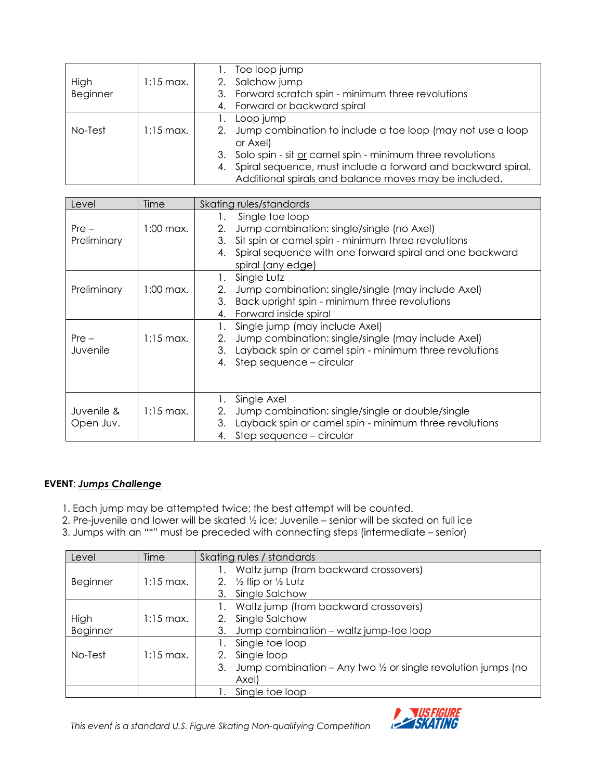| High<br><b>Beginner</b><br>No-Test | $1:15$ max.<br>$1:15 \text{ max}$ . | Toe loop jump<br>1.<br>2.<br>Salchow jump<br>3.<br>Forward scratch spin - minimum three revolutions<br>Forward or backward spiral<br>4.<br>1.<br>Loop jump<br>Jump combination to include a toe loop (may not use a loop<br>2.<br>or Axel) |
|------------------------------------|-------------------------------------|--------------------------------------------------------------------------------------------------------------------------------------------------------------------------------------------------------------------------------------------|
|                                    |                                     | Solo spin - sit or camel spin - minimum three revolutions<br>3.<br>Spiral sequence, must include a forward and backward spiral.<br>4.<br>Additional spirals and balance moves may be included.                                             |
|                                    |                                     |                                                                                                                                                                                                                                            |
| Level                              | Time                                | Skating rules/standards                                                                                                                                                                                                                    |
| $Pre -$<br>Preliminary             | $1:00$ max.                         | Single toe loop<br>1.<br>Jump combination: single/single (no Axel)<br>2.<br>Sit spin or camel spin - minimum three revolutions<br>3.<br>Spiral sequence with one forward spiral and one backward<br>4.<br>spiral (any edge)                |
| Preliminary                        | $1:00$ max.                         | Single Lutz<br>1.<br>Jump combination: single/single (may include Axel)<br>2.<br>3.<br>Back upright spin - minimum three revolutions<br>Forward inside spiral<br>4.                                                                        |
| $Pre -$<br>Juvenile                | $1:15$ max.                         | 1.<br>Single jump (may include Axel)<br>Jump combination: single/single (may include Axel)<br>2.<br>Layback spin or camel spin - minimum three revolutions<br>3.<br>Step sequence - circular<br>4.                                         |
| Juvenile &<br>Open Juv.            | $1:15$ max.                         | Single Axel<br>1.<br>Jump combination: single/single or double/single<br>2.<br>3.<br>Layback spin or camel spin - minimum three revolutions<br>Step sequence - circular<br>4.                                                              |

## EVENT: Jumps Challenge

- 1. Each jump may be attempted twice; the best attempt will be counted.
- 2. Pre-juvenile and lower will be skated ½ ice; Juvenile senior will be skated on full ice
- 3. Jumps with an "\*" must be preceded with connecting steps (intermediate senior)

| Level    | Time        | Skating rules / standards                                                     |
|----------|-------------|-------------------------------------------------------------------------------|
|          |             | Waltz jump (from backward crossovers)                                         |
| Beginner | $1:15$ max. | 2. $\frac{1}{2}$ flip or $\frac{1}{2}$ Lutz                                   |
|          |             | 3. Single Salchow                                                             |
|          |             | Waltz jump (from backward crossovers)                                         |
| High     | $1:15$ max. | Single Salchow<br>2.                                                          |
| Beginner |             | Jump combination - waltz jump-toe loop<br>3.                                  |
|          |             | Single toe loop                                                               |
| No-Test  | $1:15$ max. | Single loop<br>2.                                                             |
|          |             | Jump combination – Any two $\frac{1}{2}$ or single revolution jumps (no<br>3. |
|          |             | Axel)                                                                         |
|          |             | Single toe loop                                                               |

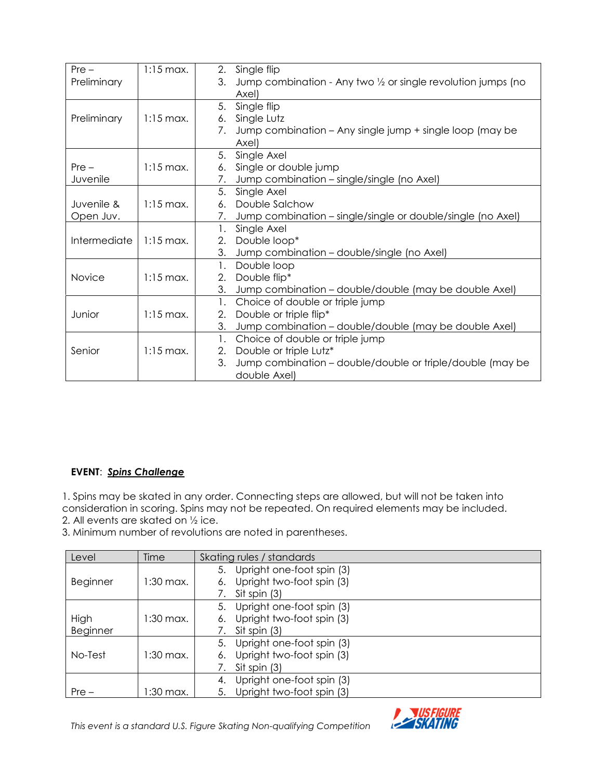| $Pre -$                                | $1:15$ max.          | 2.<br>Single flip                                                   |
|----------------------------------------|----------------------|---------------------------------------------------------------------|
| Preliminary                            |                      | 3.<br>Jump combination - Any two 1/2 or single revolution jumps (no |
|                                        |                      | Axel)                                                               |
|                                        |                      | 5.<br>Single flip                                                   |
| Preliminary                            | $1:15$ max.          | Single Lutz<br>6.                                                   |
|                                        |                      | Jump combination – Any single jump + single loop (may be<br>7.      |
|                                        |                      | Axel)                                                               |
|                                        |                      | 5.<br>Single Axel                                                   |
| $Pre -$                                | $1:15 \text{ max}$ . | Single or double jump<br>6.                                         |
| Juvenile                               |                      | 7.<br>Jump combination – single/single (no Axel)                    |
|                                        |                      | 5.<br>Single Axel                                                   |
| Juvenile &<br>$1:15$ max.<br>Open Juv. |                      | Double Salchow<br>6.                                                |
|                                        |                      | Jump combination – single/single or double/single (no Axel)<br>7.   |
|                                        |                      | Single Axel<br>1.                                                   |
| Intermediate                           | $1:15$ max.          | Double loop*<br>2.                                                  |
|                                        |                      | 3.<br>Jump combination - double/single (no Axel)                    |
|                                        |                      | Double loop<br>1.                                                   |
| <b>Novice</b>                          | $1:15$ max.          | Double flip*<br>2.                                                  |
|                                        |                      | 3.<br>Jump combination - double/double (may be double Axel)         |
|                                        |                      | Choice of double or triple jump<br>1.                               |
| Junior                                 | $1:15$ max.          | Double or triple flip*<br>2.                                        |
|                                        |                      | 3.<br>Jump combination – double/double (may be double Axel)         |
|                                        |                      | 1.<br>Choice of double or triple jump                               |
| Senior                                 | $1:15 \text{ max}$ . | 2.<br>Double or triple Lutz*                                        |
|                                        |                      | 3.<br>Jump combination – double/double or triple/double (may be     |
|                                        |                      | double Axel)                                                        |

## EVENT: Spins Challenge

1. Spins may be skated in any order. Connecting steps are allowed, but will not be taken into consideration in scoring. Spins may not be repeated. On required elements may be included. 2. All events are skated on ½ ice.

3. Minimum number of revolutions are noted in parentheses.

| Level    | Time        | Skating rules / standards       |  |
|----------|-------------|---------------------------------|--|
|          |             | Upright one-foot spin (3)<br>5. |  |
| Beginner | $1:30$ max. | Upright two-foot spin (3)<br>6. |  |
|          |             | Sit spin (3)                    |  |
|          |             | Upright one-foot spin (3)<br>5. |  |
| High     | 1:30 max.   | Upright two-foot spin (3)<br>6. |  |
| Beginner |             | Sit spin (3)                    |  |
|          |             | Upright one-foot spin (3)<br>5. |  |
| No-Test  | 1:30 max.   | Upright two-foot spin (3)<br>6. |  |
|          |             | Sit spin (3)                    |  |
|          |             | Upright one-foot spin (3)<br>4. |  |
| $Pre -$  | :30 max.    | Upright two-foot spin (3)<br>5. |  |

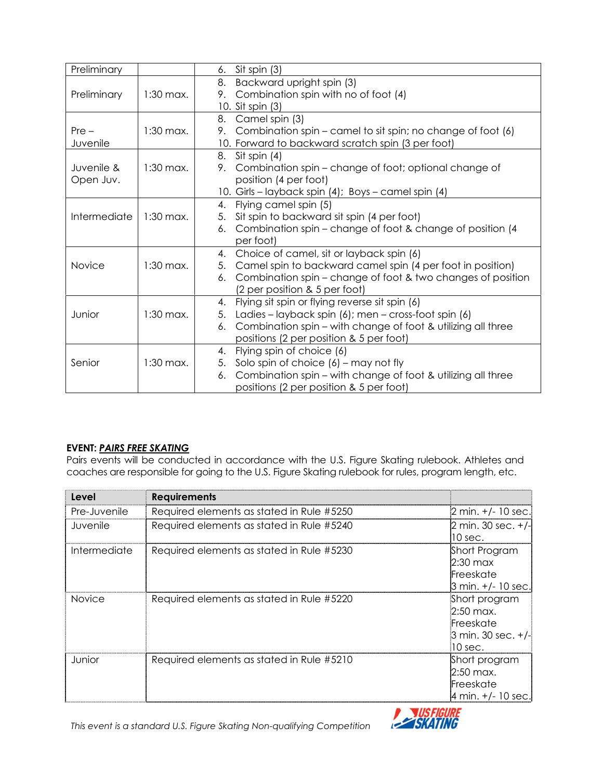| Preliminary  |             | Sit spin (3)<br>6.                                                 |
|--------------|-------------|--------------------------------------------------------------------|
|              |             | 8.<br>Backward upright spin (3)                                    |
| Preliminary  | $1:30$ max. | Combination spin with no of foot (4)<br>9.                         |
|              |             | 10. Sit spin (3)                                                   |
|              |             | Camel spin (3)<br>8.                                               |
| $Pre -$      | $1:30$ max. | Combination spin – camel to sit spin; no change of foot (6)<br>9.  |
| Juvenile     |             | 10. Forward to backward scratch spin (3 per foot)                  |
|              |             | Sit spin (4)<br>8.                                                 |
| Juvenile &   | $1:30$ max. | Combination spin – change of foot; optional change of<br>9.        |
| Open Juv.    |             | position (4 per foot)                                              |
|              |             | 10. Girls - layback spin (4); Boys - camel spin (4)                |
|              |             | Flying camel spin (5)<br>4.                                        |
| Intermediate | $1:30$ max. | Sit spin to backward sit spin (4 per foot)<br>5.                   |
|              |             | Combination spin – change of foot & change of position (4)<br>6.   |
|              |             | per foot)                                                          |
|              |             | Choice of camel, sit or layback spin (6)<br>4.                     |
| Novice       | $1:30$ max. | Camel spin to backward camel spin (4 per foot in position)<br>5.   |
|              |             | Combination spin – change of foot & two changes of position<br>6.  |
|              |             | (2 per position & 5 per foot)                                      |
|              |             | Flying sit spin or flying reverse sit spin (6)<br>4.               |
| Junior       | $1:30$ max. | Ladies – layback spin (6); men – cross-foot spin (6)<br>5.         |
|              |             | Combination spin – with change of foot & utilizing all three<br>6. |
|              |             | positions (2 per position & 5 per foot)                            |
|              |             | Flying spin of choice (6)<br>4.                                    |
| Senior       | $1:30$ max. | Solo spin of choice $(6)$ – may not fly<br>5.                      |
|              |             | Combination spin - with change of foot & utilizing all three<br>6. |
|              |             | positions (2 per position & 5 per foot)                            |

## EVENT: PAIRS FREE SKATING

Pairs events will be conducted in accordance with the U.S. Figure Skating rulebook. Athletes and coaches are responsible for going to the U.S. Figure Skating rulebook for rules, program length, etc.

| Level         | <b>Requirements</b>                       |                                                                                                  |
|---------------|-------------------------------------------|--------------------------------------------------------------------------------------------------|
| Pre-Juvenile  | Required elements as stated in Rule #5250 | $2 \text{ min.} +/- 10 \text{ sec.}$                                                             |
| Juvenile      | Required elements as stated in Rule #5240 | $2 \text{ min. } 30 \text{ sec. } +/-$<br>$10$ sec.                                              |
| Intermediate  | Required elements as stated in Rule #5230 | Short Program<br>$2:30$ max<br>Freeskate<br>$3$ min. $+/$ 10 sec.                                |
| <b>Novice</b> | Required elements as stated in Rule #5220 | Short program<br>$2:50$ max.<br>Freeskate<br>$3 \text{ min. } 30 \text{ sec. } +/-$<br>$10$ sec. |
| Junior        | Required elements as stated in Rule #5210 | Short program<br>$2:50$ max.<br>Freeskate<br>4 min. $+/- 10$ sec.                                |

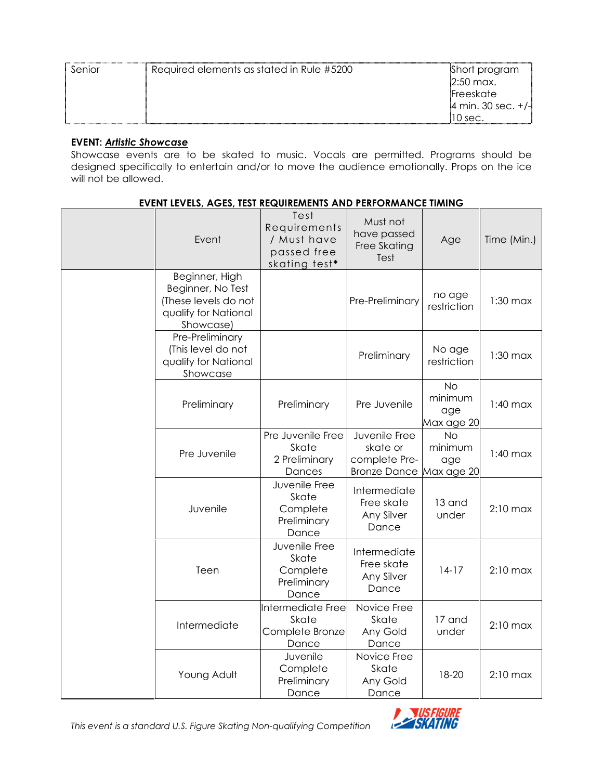| Senior | Required elements as stated in Rule #5200 | Short program                            |
|--------|-------------------------------------------|------------------------------------------|
|        |                                           | $2:50$ max.                              |
|        |                                           | Freeskate                                |
|        |                                           | $ 4 \text{ min. } 30 \text{ sec. } +/- $ |
|        |                                           | 10 sec.                                  |

#### EVENT: Artistic Showcase

Showcase events are to be skated to music. Vocals are permitted. Programs should be designed specifically to entertain and/or to move the audience emotionally. Props on the ice will not be allowed.

#### EVENT LEVELS, AGES, TEST REQUIREMENTS AND PERFORMANCE TIMING

| Event                                                                                            | Test<br>Requirements<br>/ Must have<br>passed free<br>skating test* | Must not<br>have passed<br>Free Skating<br>Test                   | Age                                       | Time (Min.) |
|--------------------------------------------------------------------------------------------------|---------------------------------------------------------------------|-------------------------------------------------------------------|-------------------------------------------|-------------|
| Beginner, High<br>Beginner, No Test<br>(These levels do not<br>qualify for National<br>Showcase) |                                                                     | Pre-Preliminary                                                   | no age<br>restriction                     | $1:30$ max  |
| Pre-Preliminary<br>(This level do not<br>qualify for National<br>Showcase                        |                                                                     | Preliminary                                                       | No age<br>restriction                     | $1:30$ max  |
| Preliminary                                                                                      | Preliminary                                                         | Pre Juvenile                                                      | No<br>minimum<br>age<br>Max age 20        | $1:40$ max  |
| Pre Juvenile                                                                                     | Pre Juvenile Free<br>Skate<br>2 Preliminary<br>Dances               | Juvenile Free<br>skate or<br>complete Pre-<br><b>Bronze Dance</b> | <b>No</b><br>minimum<br>age<br>Max age 20 | $1:40$ max  |
| Juvenile                                                                                         | Juvenile Free<br>Skate<br>Complete<br>Preliminary<br>Dance          | Intermediate<br>Free skate<br>Any Silver<br>Dance                 | 13 and<br>under                           | $2:10$ max  |
| Teen                                                                                             | Juvenile Free<br>Skate<br>Complete<br>Preliminary<br>Dance          | Intermediate<br>Free skate<br>Any Silver<br>Dance                 | $14-17$                                   | $2:10$ max  |
| Intermediate                                                                                     | Intermediate Free<br>Skate<br>Complete Bronze<br>Dance              | Novice Free<br>Skate<br>Any Gold<br>Dance                         | 17 and<br>under                           | $2:10$ max  |
| Young Adult                                                                                      | Juvenile<br>Complete<br>Preliminary<br>Dance                        | Novice Free<br>Skate<br>Any Gold<br>Dance                         | 18-20                                     | $2:10$ max  |